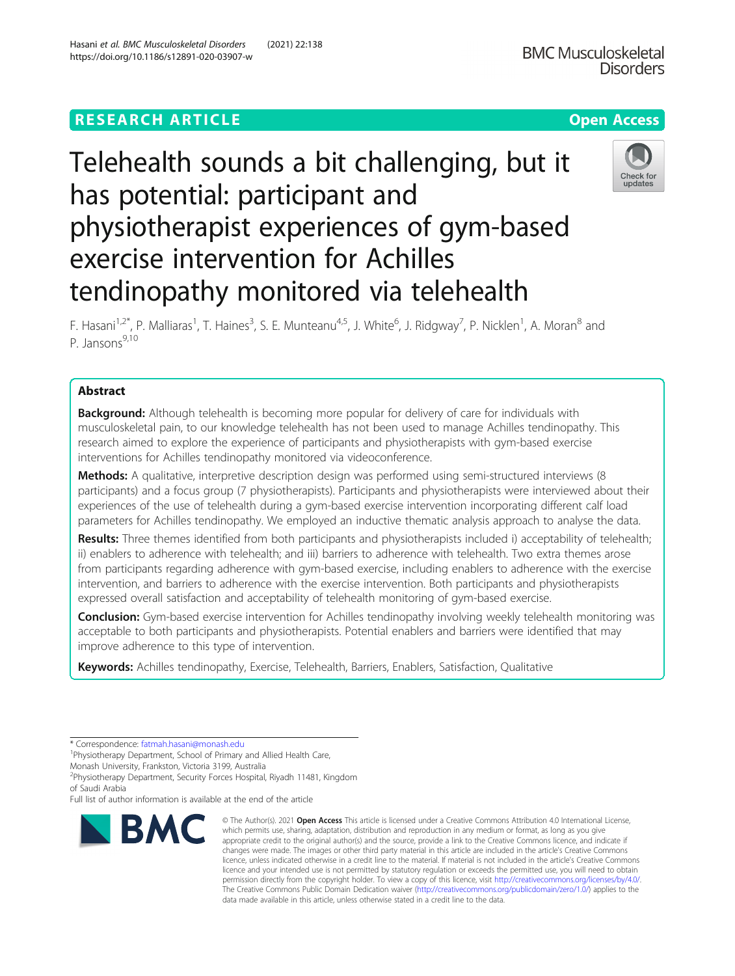# Telehealth sounds a bit challenging, but it has potential: participant and physiotherapist experiences of gym-based exercise intervention for Achilles tendinopathy monitored via telehealth



F. Hasani<sup>1,2\*</sup>, P. Malliaras<sup>1</sup>, T. Haines<sup>3</sup>, S. E. Munteanu<sup>4,5</sup>, J. White<sup>6</sup>, J. Ridgway<sup>7</sup>, P. Nicklen<sup>1</sup>, A. Moran<sup>8</sup> and P. Jansons<sup>9,10</sup>

# Abstract

**Background:** Although telehealth is becoming more popular for delivery of care for individuals with musculoskeletal pain, to our knowledge telehealth has not been used to manage Achilles tendinopathy. This research aimed to explore the experience of participants and physiotherapists with gym-based exercise interventions for Achilles tendinopathy monitored via videoconference.

Methods: A qualitative, interpretive description design was performed using semi-structured interviews (8 participants) and a focus group (7 physiotherapists). Participants and physiotherapists were interviewed about their experiences of the use of telehealth during a gym-based exercise intervention incorporating different calf load parameters for Achilles tendinopathy. We employed an inductive thematic analysis approach to analyse the data.

Results: Three themes identified from both participants and physiotherapists included i) acceptability of telehealth; ii) enablers to adherence with telehealth; and iii) barriers to adherence with telehealth. Two extra themes arose from participants regarding adherence with gym-based exercise, including enablers to adherence with the exercise intervention, and barriers to adherence with the exercise intervention. Both participants and physiotherapists expressed overall satisfaction and acceptability of telehealth monitoring of gym-based exercise.

Conclusion: Gym-based exercise intervention for Achilles tendinopathy involving weekly telehealth monitoring was acceptable to both participants and physiotherapists. Potential enablers and barriers were identified that may improve adherence to this type of intervention.

Keywords: Achilles tendinopathy, Exercise, Telehealth, Barriers, Enablers, Satisfaction, Qualitative

<sup>1</sup> Physiotherapy Department, School of Primary and Allied Health Care,

2 Physiotherapy Department, Security Forces Hospital, Riyadh 11481, Kingdom of Saudi Arabia

Full list of author information is available at the end of the article



<sup>©</sup> The Author(s), 2021 **Open Access** This article is licensed under a Creative Commons Attribution 4.0 International License, which permits use, sharing, adaptation, distribution and reproduction in any medium or format, as long as you give appropriate credit to the original author(s) and the source, provide a link to the Creative Commons licence, and indicate if changes were made. The images or other third party material in this article are included in the article's Creative Commons licence, unless indicated otherwise in a credit line to the material. If material is not included in the article's Creative Commons licence and your intended use is not permitted by statutory regulation or exceeds the permitted use, you will need to obtain permission directly from the copyright holder. To view a copy of this licence, visit [http://creativecommons.org/licenses/by/4.0/.](http://creativecommons.org/licenses/by/4.0/) The Creative Commons Public Domain Dedication waiver [\(http://creativecommons.org/publicdomain/zero/1.0/](http://creativecommons.org/publicdomain/zero/1.0/)) applies to the data made available in this article, unless otherwise stated in a credit line to the data.

<sup>\*</sup> Correspondence: [fatmah.hasani@monash.edu](mailto:fatmah.hasani@monash.edu) <sup>1</sup>

Monash University, Frankston, Victoria 3199, Australia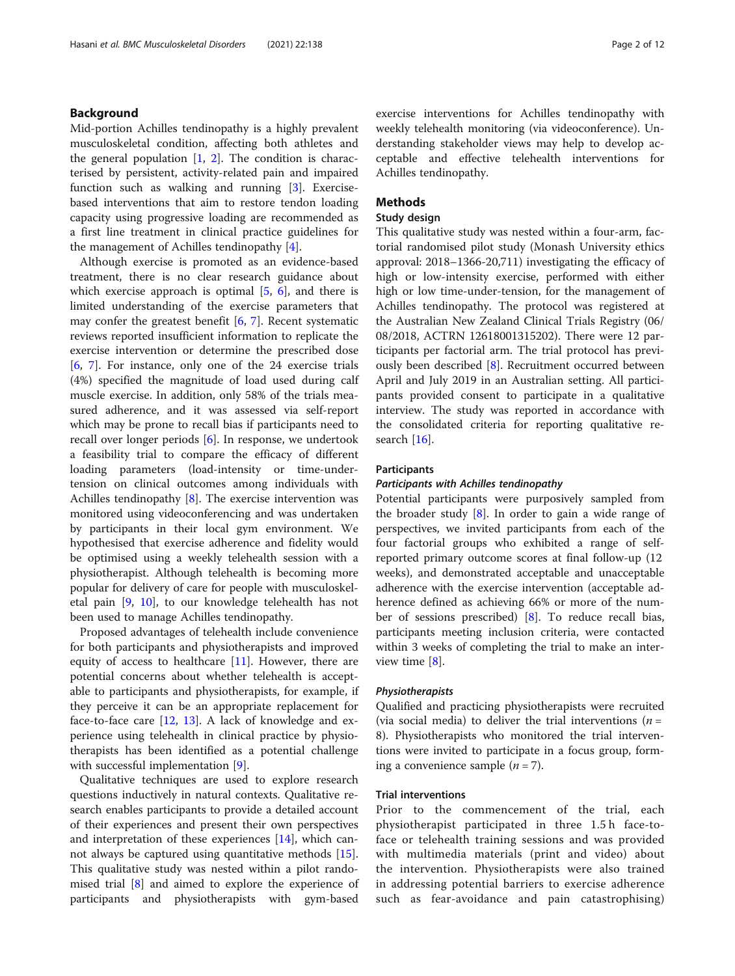# Background

Mid-portion Achilles tendinopathy is a highly prevalent musculoskeletal condition, affecting both athletes and the general population  $[1, 2]$  $[1, 2]$  $[1, 2]$  $[1, 2]$ . The condition is characterised by persistent, activity-related pain and impaired function such as walking and running [\[3\]](#page-11-0). Exercisebased interventions that aim to restore tendon loading capacity using progressive loading are recommended as a first line treatment in clinical practice guidelines for the management of Achilles tendinopathy [\[4](#page-11-0)].

Although exercise is promoted as an evidence-based treatment, there is no clear research guidance about which exercise approach is optimal  $[5, 6]$  $[5, 6]$  $[5, 6]$  $[5, 6]$ , and there is limited understanding of the exercise parameters that may confer the greatest benefit  $[6, 7]$  $[6, 7]$  $[6, 7]$  $[6, 7]$  $[6, 7]$ . Recent systematic reviews reported insufficient information to replicate the exercise intervention or determine the prescribed dose [[6,](#page-11-0) [7\]](#page-11-0). For instance, only one of the 24 exercise trials (4%) specified the magnitude of load used during calf muscle exercise. In addition, only 58% of the trials measured adherence, and it was assessed via self-report which may be prone to recall bias if participants need to recall over longer periods [[6\]](#page-11-0). In response, we undertook a feasibility trial to compare the efficacy of different loading parameters (load-intensity or time-undertension on clinical outcomes among individuals with Achilles tendinopathy [\[8\]](#page-11-0). The exercise intervention was monitored using videoconferencing and was undertaken by participants in their local gym environment. We hypothesised that exercise adherence and fidelity would be optimised using a weekly telehealth session with a physiotherapist. Although telehealth is becoming more popular for delivery of care for people with musculoskeletal pain [[9,](#page-11-0) [10](#page-11-0)], to our knowledge telehealth has not been used to manage Achilles tendinopathy.

Proposed advantages of telehealth include convenience for both participants and physiotherapists and improved equity of access to healthcare  $[11]$  $[11]$ . However, there are potential concerns about whether telehealth is acceptable to participants and physiotherapists, for example, if they perceive it can be an appropriate replacement for face-to-face care  $[12, 13]$  $[12, 13]$  $[12, 13]$  $[12, 13]$ . A lack of knowledge and experience using telehealth in clinical practice by physiotherapists has been identified as a potential challenge with successful implementation [[9\]](#page-11-0).

Qualitative techniques are used to explore research questions inductively in natural contexts. Qualitative research enables participants to provide a detailed account of their experiences and present their own perspectives and interpretation of these experiences [[14\]](#page-11-0), which cannot always be captured using quantitative methods [\[15](#page-11-0)]. This qualitative study was nested within a pilot randomised trial [\[8](#page-11-0)] and aimed to explore the experience of participants and physiotherapists with gym-based exercise interventions for Achilles tendinopathy with weekly telehealth monitoring (via videoconference). Understanding stakeholder views may help to develop acceptable and effective telehealth interventions for Achilles tendinopathy.

# Methods

# Study design

This qualitative study was nested within a four-arm, factorial randomised pilot study (Monash University ethics approval: 2018–1366-20,711) investigating the efficacy of high or low-intensity exercise, performed with either high or low time-under-tension, for the management of Achilles tendinopathy. The protocol was registered at the Australian New Zealand Clinical Trials Registry (06/ 08/2018, ACTRN 12618001315202). There were 12 participants per factorial arm. The trial protocol has previously been described [\[8](#page-11-0)]. Recruitment occurred between April and July 2019 in an Australian setting. All participants provided consent to participate in a qualitative interview. The study was reported in accordance with the consolidated criteria for reporting qualitative re-search [[16\]](#page-11-0).

# **Participants**

# Participants with Achilles tendinopathy

Potential participants were purposively sampled from the broader study  $[8]$  $[8]$ . In order to gain a wide range of perspectives, we invited participants from each of the four factorial groups who exhibited a range of selfreported primary outcome scores at final follow-up (12 weeks), and demonstrated acceptable and unacceptable adherence with the exercise intervention (acceptable adherence defined as achieving 66% or more of the number of sessions prescribed) [\[8](#page-11-0)]. To reduce recall bias, participants meeting inclusion criteria, were contacted within 3 weeks of completing the trial to make an interview time [\[8](#page-11-0)].

# Physiotherapists

Qualified and practicing physiotherapists were recruited (via social media) to deliver the trial interventions ( $n =$ 8). Physiotherapists who monitored the trial interventions were invited to participate in a focus group, forming a convenience sample  $(n = 7)$ .

# Trial interventions

Prior to the commencement of the trial, each physiotherapist participated in three 1.5 h face-toface or telehealth training sessions and was provided with multimedia materials (print and video) about the intervention. Physiotherapists were also trained in addressing potential barriers to exercise adherence such as fear-avoidance and pain catastrophising)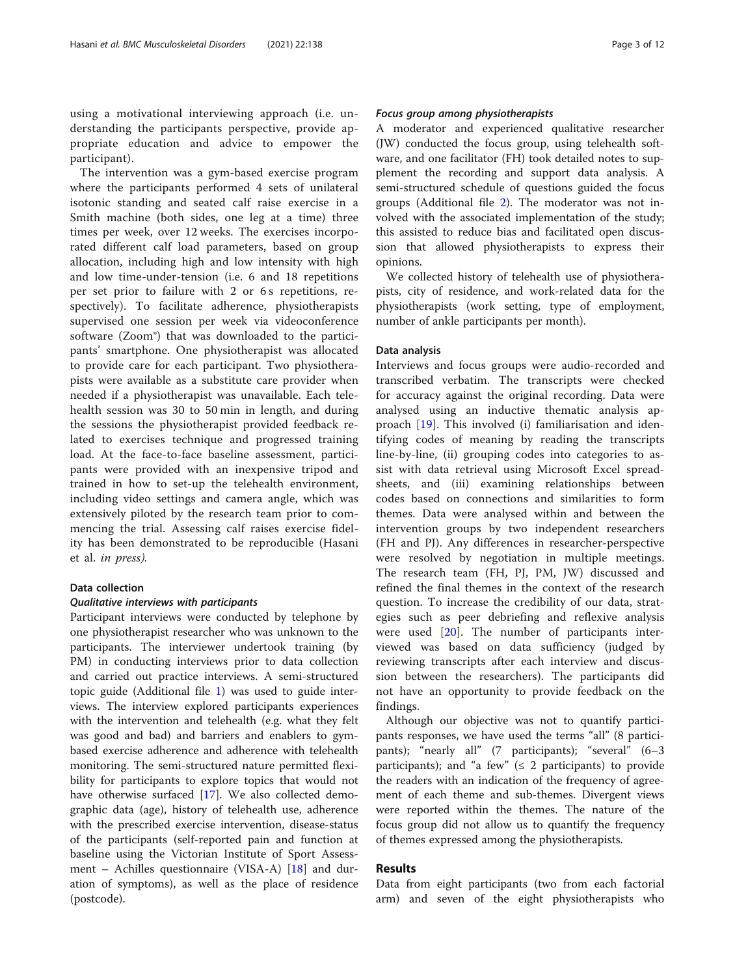using a motivational interviewing approach (i.e. understanding the participants perspective, provide appropriate education and advice to empower the participant).

The intervention was a gym-based exercise program where the participants performed 4 sets of unilateral isotonic standing and seated calf raise exercise in a Smith machine (both sides, one leg at a time) three times per week, over 12 weeks. The exercises incorporated different calf load parameters, based on group allocation, including high and low intensity with high and low time-under-tension (i.e. 6 and 18 repetitions per set prior to failure with 2 or 6 s repetitions, respectively). To facilitate adherence, physiotherapists supervised one session per week via videoconference software (Zoom®) that was downloaded to the participants' smartphone. One physiotherapist was allocated to provide care for each participant. Two physiotherapists were available as a substitute care provider when needed if a physiotherapist was unavailable. Each telehealth session was 30 to 50 min in length, and during the sessions the physiotherapist provided feedback related to exercises technique and progressed training load. At the face-to-face baseline assessment, participants were provided with an inexpensive tripod and trained in how to set-up the telehealth environment, including video settings and camera angle, which was extensively piloted by the research team prior to commencing the trial. Assessing calf raises exercise fidelity has been demonstrated to be reproducible (Hasani et al. in press).

# Data collection

# Qualitative interviews with participants

Participant interviews were conducted by telephone by one physiotherapist researcher who was unknown to the participants. The interviewer undertook training (by PM) in conducting interviews prior to data collection and carried out practice interviews. A semi-structured topic guide (Additional file [1\)](#page-10-0) was used to guide interviews. The interview explored participants experiences with the intervention and telehealth (e.g. what they felt was good and bad) and barriers and enablers to gymbased exercise adherence and adherence with telehealth monitoring. The semi-structured nature permitted flexibility for participants to explore topics that would not have otherwise surfaced [[17\]](#page-11-0). We also collected demographic data (age), history of telehealth use, adherence with the prescribed exercise intervention, disease-status of the participants (self-reported pain and function at baseline using the Victorian Institute of Sport Assessment – Achilles questionnaire (VISA-A)  $[18]$  $[18]$  and duration of symptoms), as well as the place of residence (postcode).

# Focus group among physiotherapists

A moderator and experienced qualitative researcher (JW) conducted the focus group, using telehealth software, and one facilitator (FH) took detailed notes to supplement the recording and support data analysis. A semi-structured schedule of questions guided the focus groups (Additional file [2](#page-10-0)). The moderator was not involved with the associated implementation of the study; this assisted to reduce bias and facilitated open discussion that allowed physiotherapists to express their opinions.

We collected history of telehealth use of physiotherapists, city of residence, and work-related data for the physiotherapists (work setting, type of employment, number of ankle participants per month).

# Data analysis

Interviews and focus groups were audio-recorded and transcribed verbatim. The transcripts were checked for accuracy against the original recording. Data were analysed using an inductive thematic analysis approach [[19\]](#page-11-0). This involved (i) familiarisation and identifying codes of meaning by reading the transcripts line-by-line, (ii) grouping codes into categories to assist with data retrieval using Microsoft Excel spreadsheets, and (iii) examining relationships between codes based on connections and similarities to form themes. Data were analysed within and between the intervention groups by two independent researchers (FH and PJ). Any differences in researcher-perspective were resolved by negotiation in multiple meetings. The research team (FH, PJ, PM, JW) discussed and refined the final themes in the context of the research question. To increase the credibility of our data, strategies such as peer debriefing and reflexive analysis were used [[20](#page-11-0)]. The number of participants interviewed was based on data sufficiency (judged by reviewing transcripts after each interview and discussion between the researchers). The participants did not have an opportunity to provide feedback on the findings.

Although our objective was not to quantify participants responses, we have used the terms "all" (8 participants); "nearly all" (7 participants); "several" (6–3 participants); and "a few" ( $\leq$  2 participants) to provide the readers with an indication of the frequency of agreement of each theme and sub-themes. Divergent views were reported within the themes. The nature of the focus group did not allow us to quantify the frequency of themes expressed among the physiotherapists.

# Results

Data from eight participants (two from each factorial arm) and seven of the eight physiotherapists who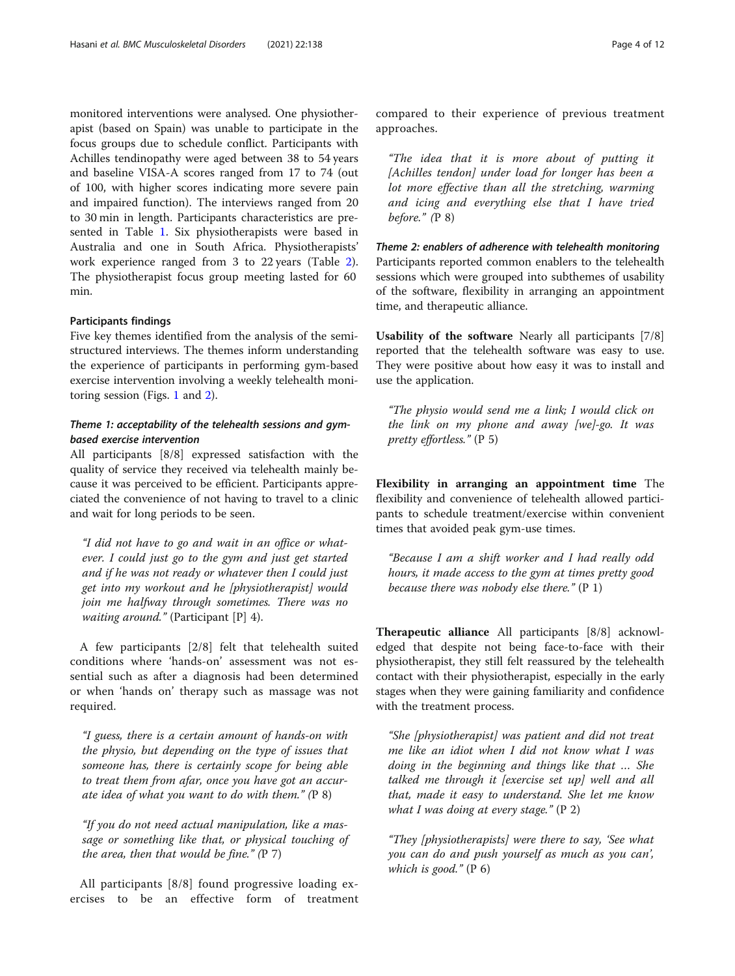monitored interventions were analysed. One physiotherapist (based on Spain) was unable to participate in the focus groups due to schedule conflict. Participants with Achilles tendinopathy were aged between 38 to 54 years and baseline VISA-A scores ranged from 17 to 74 (out of 100, with higher scores indicating more severe pain and impaired function). The interviews ranged from 20 to 30 min in length. Participants characteristics are presented in Table [1](#page-4-0). Six physiotherapists were based in Australia and one in South Africa. Physiotherapists' work experience ranged from 3 to 22 years (Table [2](#page-5-0)). The physiotherapist focus group meeting lasted for 60 min.

# Participants findings

Five key themes identified from the analysis of the semistructured interviews. The themes inform understanding the experience of participants in performing gym-based exercise intervention involving a weekly telehealth monitoring session (Figs. [1](#page-5-0) and [2](#page-5-0)).

# Theme 1: acceptability of the telehealth sessions and gymbased exercise intervention

All participants [8/8] expressed satisfaction with the quality of service they received via telehealth mainly because it was perceived to be efficient. Participants appreciated the convenience of not having to travel to a clinic and wait for long periods to be seen.

"I did not have to go and wait in an office or whatever. I could just go to the gym and just get started and if he was not ready or whatever then I could just get into my workout and he [physiotherapist] would join me halfway through sometimes. There was no *waiting around.*" (Participant  $[P]$  4).

A few participants [2/8] felt that telehealth suited conditions where 'hands-on' assessment was not essential such as after a diagnosis had been determined or when 'hands on' therapy such as massage was not required.

"I guess, there is a certain amount of hands-on with the physio, but depending on the type of issues that someone has, there is certainly scope for being able to treat them from afar, once you have got an accurate idea of what you want to do with them."  $(P 8)$ 

"If you do not need actual manipulation, like a massage or something like that, or physical touching of the area, then that would be fine."  $(P 7)$ 

All participants [8/8] found progressive loading exercises to be an effective form of treatment

compared to their experience of previous treatment approaches.

"The idea that it is more about of putting it [Achilles tendon] under load for longer has been a lot more effective than all the stretching, warming and icing and everything else that I have tried before." (P 8)

Theme 2: enablers of adherence with telehealth monitoring Participants reported common enablers to the telehealth sessions which were grouped into subthemes of usability of the software, flexibility in arranging an appointment time, and therapeutic alliance.

Usability of the software Nearly all participants [7/8] reported that the telehealth software was easy to use. They were positive about how easy it was to install and use the application.

"The physio would send me a link; I would click on the link on my phone and away [we]-go. It was pretty effortless." (P 5)

Flexibility in arranging an appointment time The flexibility and convenience of telehealth allowed participants to schedule treatment/exercise within convenient times that avoided peak gym-use times.

"Because I am a shift worker and I had really odd hours, it made access to the gym at times pretty good because there was nobody else there."  $(P_1)$ 

Therapeutic alliance All participants [8/8] acknowledged that despite not being face-to-face with their physiotherapist, they still felt reassured by the telehealth contact with their physiotherapist, especially in the early stages when they were gaining familiarity and confidence with the treatment process.

"She [physiotherapist] was patient and did not treat me like an idiot when I did not know what I was doing in the beginning and things like that … She talked me through it [exercise set up] well and all that, made it easy to understand. She let me know what I was doing at every stage."  $(P 2)$ 

"They [physiotherapists] were there to say, 'See what you can do and push yourself as much as you can', which is good."  $(P 6)$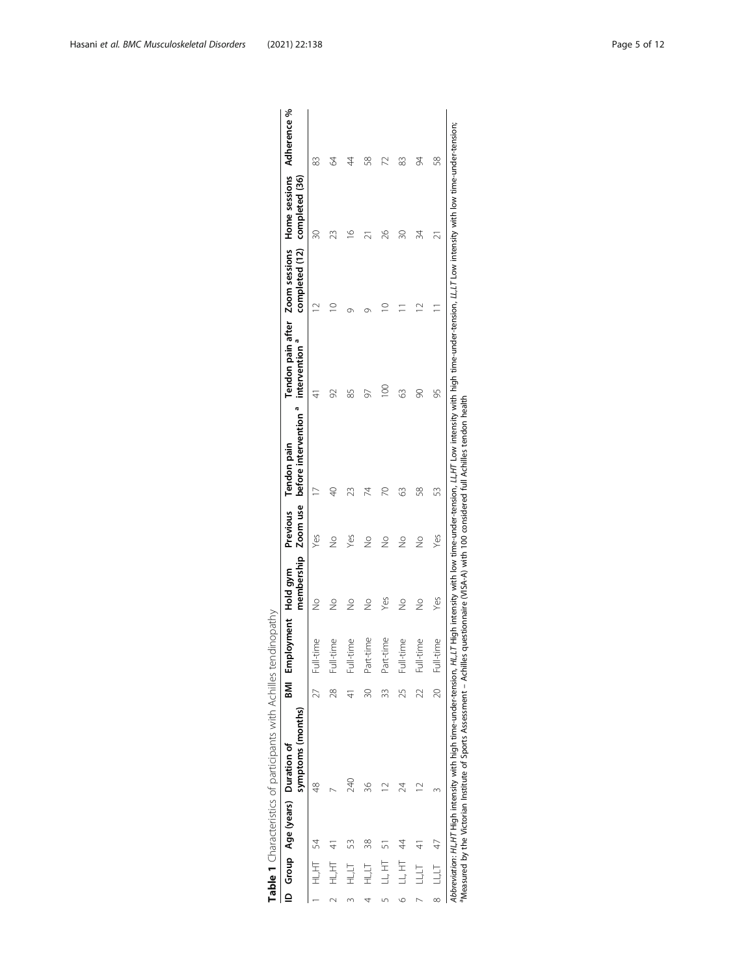|   |             |             | symptoms (months)<br>ID Group Age (years) Duration of                                                                                                                                                                                                                                                                                  |               | BMI Employment Hold gym |               |               | membership Zoom use before intervention <sup>ª</sup><br>Previous Tendon pain | Tendon pain after Zoom sessions Home sessions Adherence %<br>intervention <sup>a</sup> | completed (12) completed (36) |    |    |
|---|-------------|-------------|----------------------------------------------------------------------------------------------------------------------------------------------------------------------------------------------------------------------------------------------------------------------------------------------------------------------------------------|---------------|-------------------------|---------------|---------------|------------------------------------------------------------------------------|----------------------------------------------------------------------------------------|-------------------------------|----|----|
|   | HLHT 54     |             | $\frac{\alpha}{4}$                                                                                                                                                                                                                                                                                                                     |               | Full-time               |               | Č             |                                                                              |                                                                                        |                               |    | R  |
|   | HLHT 41     |             |                                                                                                                                                                                                                                                                                                                                        | 88            | Full-time               | $\frac{1}{2}$ | $\frac{1}{2}$ |                                                                              |                                                                                        |                               |    |    |
|   | <b>HLLT</b> | 53          | 240                                                                                                                                                                                                                                                                                                                                    | $\frac{4}{3}$ | Full-time               | $\frac{1}{2}$ | Yes           |                                                                              |                                                                                        |                               |    |    |
|   | <b>HLLT</b> | 38          | 36                                                                                                                                                                                                                                                                                                                                     | $\approx$     | Part-time               | $\frac{1}{2}$ | $\frac{1}{2}$ |                                                                              |                                                                                        |                               |    |    |
|   | LL, HT 51   |             |                                                                                                                                                                                                                                                                                                                                        | 33            | Part-time               | Yes           | $\frac{1}{2}$ |                                                                              | 8                                                                                      |                               |    |    |
| G | 山山          | $rac{4}{4}$ |                                                                                                                                                                                                                                                                                                                                        | 25            | I-time<br>Ż             | $\frac{9}{2}$ | $\frac{1}{2}$ | 3                                                                            |                                                                                        |                               |    |    |
|   | LLLT        |             |                                                                                                                                                                                                                                                                                                                                        | 22            | Full-time               | $\frac{1}{2}$ | $\frac{9}{2}$ | 58                                                                           |                                                                                        |                               | 34 | 94 |
| ∞ | LL,LT 47    |             |                                                                                                                                                                                                                                                                                                                                        |               | 20 Full-time            | Yes           | Yes           | S                                                                            |                                                                                        |                               |    | 58 |
|   |             |             | Abbreviation: HL,HT High intensity with high time-under-tension, HL,II High intensity with how intensity with high time-under-tension, LL,II Low intensity with low time-under-tension;<br>"Measured by the Victorian Institute of Sports Assessment – Achilles questionnaire (VISA-A) with 100 considered full Achilles tendon health |               |                         |               |               |                                                                              |                                                                                        |                               |    |    |

| j<br>can lat taalama        |  |
|-----------------------------|--|
|                             |  |
|                             |  |
| ことさらにしことさら ナマ とくごちこくさく<br>j |  |
| ì                           |  |
| į                           |  |
|                             |  |
|                             |  |

<span id="page-4-0"></span>Hasani et al. BMC Musculoskeletal Disorders (2021) 22:138 Page 5 of 12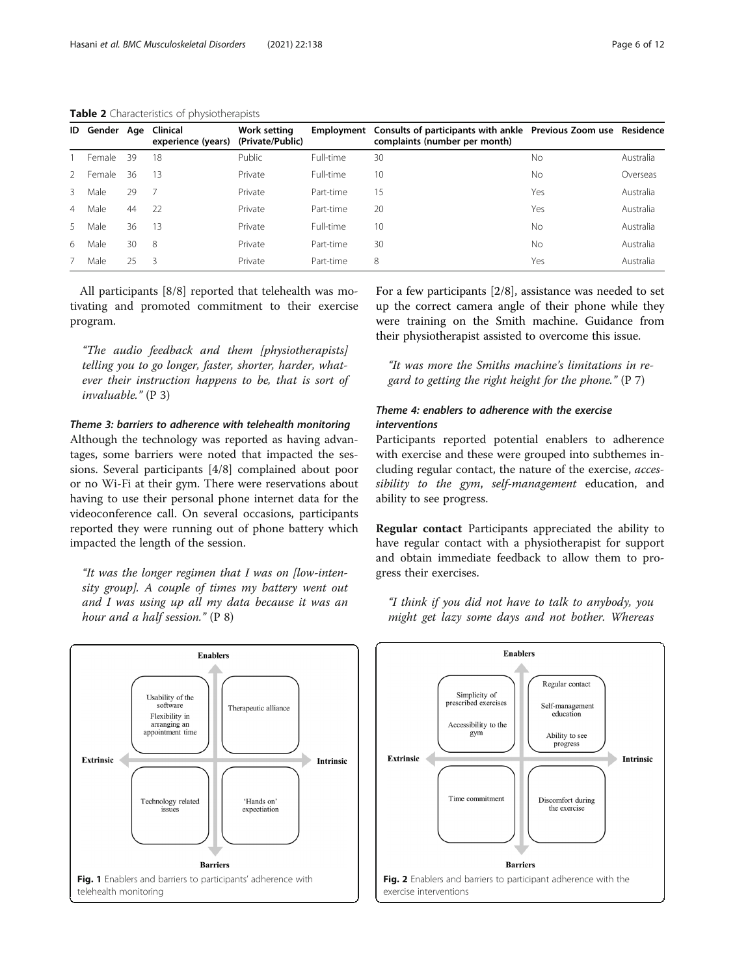| ID | Gender Age Clinical |    | experience (years) | Work setting<br>(Private/Public) |           | Employment Consults of participants with ankle Previous Zoom use Residence<br>complaints (number per month) |           |           |
|----|---------------------|----|--------------------|----------------------------------|-----------|-------------------------------------------------------------------------------------------------------------|-----------|-----------|
|    | Female              | 39 | 18                 | Public                           | Full-time | 30                                                                                                          | No        | Australia |
|    | Female              | 36 | 13                 | Private                          | Full-time | 10                                                                                                          | No        | Overseas  |
| 3  | Male                | 29 |                    | Private                          | Part-time | 15                                                                                                          | Yes       | Australia |
| 4  | Male                | 44 | 22                 | Private                          | Part-time | 20                                                                                                          | Yes       | Australia |
| 5. | Male                | 36 | 13                 | Private                          | Full-time | 10                                                                                                          | <b>No</b> | Australia |
| 6  | Male                | 30 | -8                 | Private                          | Part-time | 30                                                                                                          | No        | Australia |
|    | Male                | 25 | 3                  | Private                          | Part-time | 8                                                                                                           | Yes       | Australia |

# <span id="page-5-0"></span>Table 2 Characteristics of physiotherapists

All participants [8/8] reported that telehealth was motivating and promoted commitment to their exercise program.

"The audio feedback and them [physiotherapists] telling you to go longer, faster, shorter, harder, whatever their instruction happens to be, that is sort of invaluable." (P 3)

Theme 3: barriers to adherence with telehealth monitoring

Although the technology was reported as having advantages, some barriers were noted that impacted the sessions. Several participants [4/8] complained about poor or no Wi-Fi at their gym. There were reservations about having to use their personal phone internet data for the videoconference call. On several occasions, participants reported they were running out of phone battery which impacted the length of the session.

"It was the longer regimen that I was on [low-intensity group]. A couple of times my battery went out and I was using up all my data because it was an hour and a half session." (P 8)



For a few participants [2/8], assistance was needed to set up the correct camera angle of their phone while they were training on the Smith machine. Guidance from their physiotherapist assisted to overcome this issue.

"It was more the Smiths machine's limitations in regard to getting the right height for the phone."  $(P 7)$ 

# Theme 4: enablers to adherence with the exercise interventions

Participants reported potential enablers to adherence with exercise and these were grouped into subthemes including regular contact, the nature of the exercise, accessibility to the gym, self-management education, and ability to see progress.

Regular contact Participants appreciated the ability to have regular contact with a physiotherapist for support and obtain immediate feedback to allow them to progress their exercises.

"I think if you did not have to talk to anybody, you might get lazy some days and not bother. Whereas

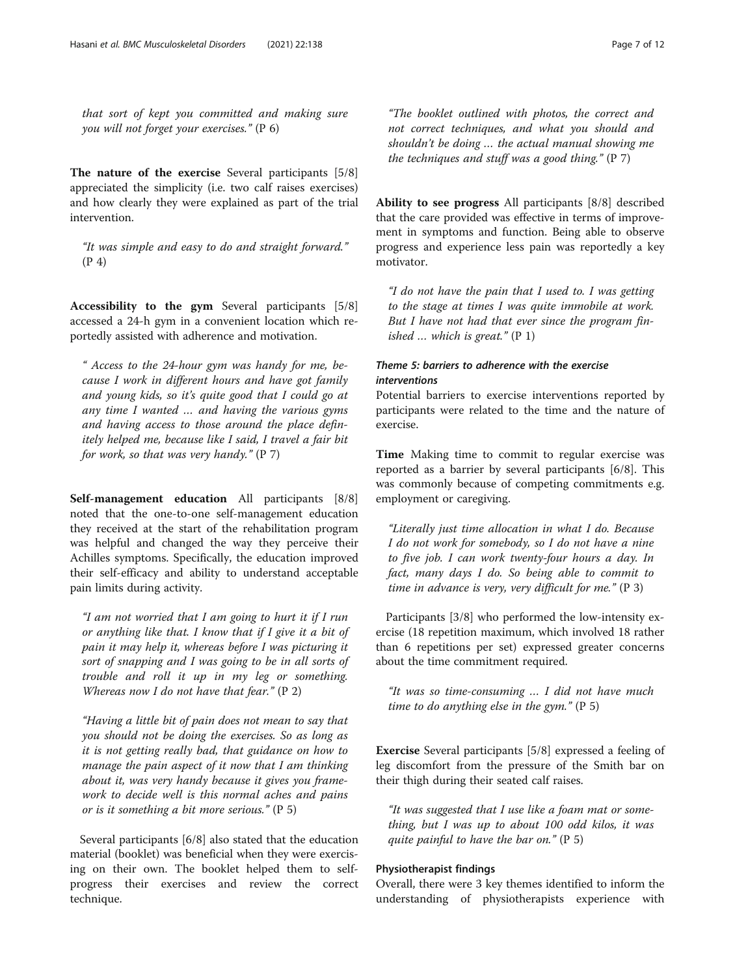that sort of kept you committed and making sure you will not forget your exercises." (P 6)

The nature of the exercise Several participants [5/8] appreciated the simplicity (i.e. two calf raises exercises) and how clearly they were explained as part of the trial intervention.

"It was simple and easy to do and straight forward." (P 4)

Accessibility to the gym Several participants [5/8] accessed a 24-h gym in a convenient location which reportedly assisted with adherence and motivation.

" Access to the 24-hour gym was handy for me, because I work in different hours and have got family and young kids, so it's quite good that I could go at any time I wanted … and having the various gyms and having access to those around the place definitely helped me, because like I said, I travel a fair bit for work, so that was very handy."  $(P 7)$ 

Self-management education All participants [8/8] noted that the one-to-one self-management education they received at the start of the rehabilitation program was helpful and changed the way they perceive their Achilles symptoms. Specifically, the education improved their self-efficacy and ability to understand acceptable pain limits during activity.

"I am not worried that I am going to hurt it if I run or anything like that. I know that if I give it a bit of pain it may help it, whereas before I was picturing it sort of snapping and I was going to be in all sorts of trouble and roll it up in my leg or something. Whereas now I do not have that fear."  $(P 2)$ 

"Having a little bit of pain does not mean to say that you should not be doing the exercises. So as long as it is not getting really bad, that guidance on how to manage the pain aspect of it now that I am thinking about it, was very handy because it gives you framework to decide well is this normal aches and pains or is it something a bit more serious." (P 5)

Several participants [6/8] also stated that the education material (booklet) was beneficial when they were exercising on their own. The booklet helped them to selfprogress their exercises and review the correct technique.

"The booklet outlined with photos, the correct and not correct techniques, and what you should and shouldn't be doing … the actual manual showing me the techniques and stuff was a good thing."  $(P 7)$ 

Ability to see progress All participants [8/8] described that the care provided was effective in terms of improvement in symptoms and function. Being able to observe progress and experience less pain was reportedly a key motivator.

"I do not have the pain that I used to. I was getting to the stage at times I was quite immobile at work. But I have not had that ever since the program finished  $\ldots$  which is great." (P 1)

# Theme 5: barriers to adherence with the exercise interventions

Potential barriers to exercise interventions reported by participants were related to the time and the nature of exercise.

Time Making time to commit to regular exercise was reported as a barrier by several participants [6/8]. This was commonly because of competing commitments e.g. employment or caregiving.

"Literally just time allocation in what I do. Because I do not work for somebody, so I do not have a nine to five job. I can work twenty-four hours a day. In fact, many days I do. So being able to commit to time in advance is very, very difficult for me."  $(P 3)$ 

Participants [3/8] who performed the low-intensity exercise (18 repetition maximum, which involved 18 rather than 6 repetitions per set) expressed greater concerns about the time commitment required.

"It was so time-consuming … I did not have much time to do anything else in the gym."  $(P 5)$ 

Exercise Several participants [5/8] expressed a feeling of leg discomfort from the pressure of the Smith bar on their thigh during their seated calf raises.

"It was suggested that I use like a foam mat or something, but I was up to about 100 odd kilos, it was quite painful to have the bar on."  $(P 5)$ 

# Physiotherapist findings

Overall, there were 3 key themes identified to inform the understanding of physiotherapists experience with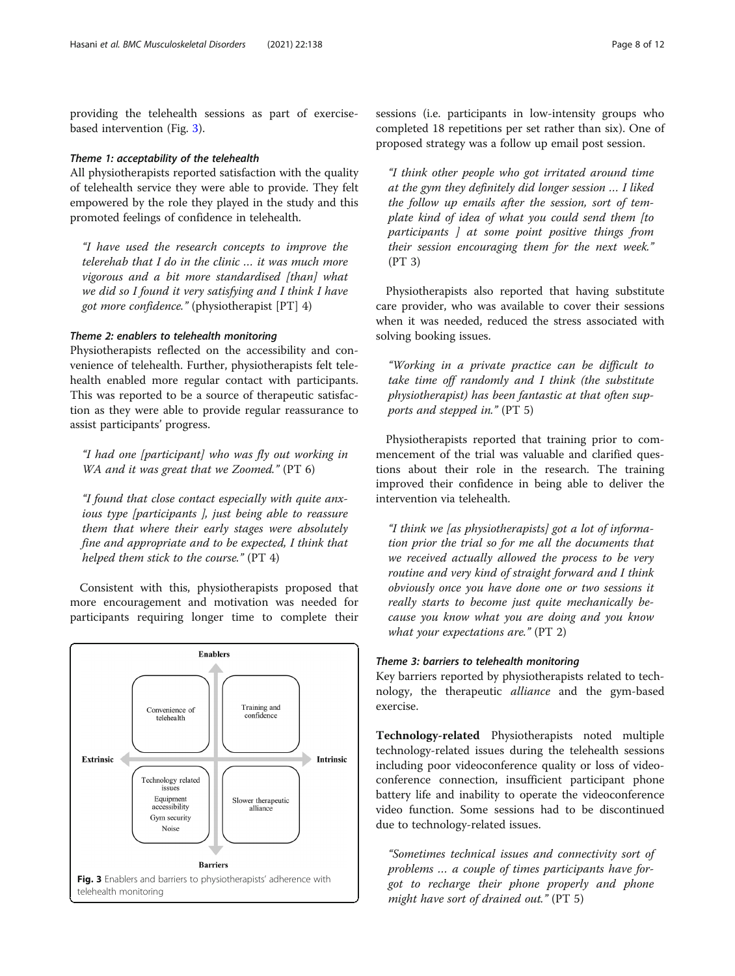providing the telehealth sessions as part of exercisebased intervention (Fig. 3).

# Theme 1: acceptability of the telehealth

All physiotherapists reported satisfaction with the quality of telehealth service they were able to provide. They felt empowered by the role they played in the study and this promoted feelings of confidence in telehealth.

"I have used the research concepts to improve the telerehab that I do in the clinic … it was much more vigorous and a bit more standardised [than] what we did so I found it very satisfying and I think I have got more confidence." (physiotherapist [PT] 4)

# Theme 2: enablers to telehealth monitoring

Physiotherapists reflected on the accessibility and convenience of telehealth. Further, physiotherapists felt telehealth enabled more regular contact with participants. This was reported to be a source of therapeutic satisfaction as they were able to provide regular reassurance to assist participants' progress.

"I had one [participant] who was fly out working in WA and it was great that we Zoomed." (PT 6)

"I found that close contact especially with quite anxious type [participants ], just being able to reassure them that where their early stages were absolutely fine and appropriate and to be expected, I think that helped them stick to the course." (PT 4)

Consistent with this, physiotherapists proposed that more encouragement and motivation was needed for participants requiring longer time to complete their



sessions (i.e. participants in low-intensity groups who completed 18 repetitions per set rather than six). One of proposed strategy was a follow up email post session.

"I think other people who got irritated around time at the gym they definitely did longer session … I liked the follow up emails after the session, sort of template kind of idea of what you could send them [to participants ] at some point positive things from their session encouraging them for the next week." (PT 3)

Physiotherapists also reported that having substitute care provider, who was available to cover their sessions when it was needed, reduced the stress associated with solving booking issues.

"Working in a private practice can be difficult to take time off randomly and I think (the substitute physiotherapist) has been fantastic at that often supports and stepped in." (PT 5)

Physiotherapists reported that training prior to commencement of the trial was valuable and clarified questions about their role in the research. The training improved their confidence in being able to deliver the intervention via telehealth.

"I think we [as physiotherapists] got a lot of information prior the trial so for me all the documents that we received actually allowed the process to be very routine and very kind of straight forward and I think obviously once you have done one or two sessions it really starts to become just quite mechanically because you know what you are doing and you know what your expectations are." (PT 2)

# Theme 3: barriers to telehealth monitoring

Key barriers reported by physiotherapists related to technology, the therapeutic alliance and the gym-based exercise.

Technology-related Physiotherapists noted multiple technology-related issues during the telehealth sessions including poor videoconference quality or loss of videoconference connection, insufficient participant phone battery life and inability to operate the videoconference video function. Some sessions had to be discontinued due to technology-related issues.

"Sometimes technical issues and connectivity sort of problems … a couple of times participants have forgot to recharge their phone properly and phone might have sort of drained out." (PT 5)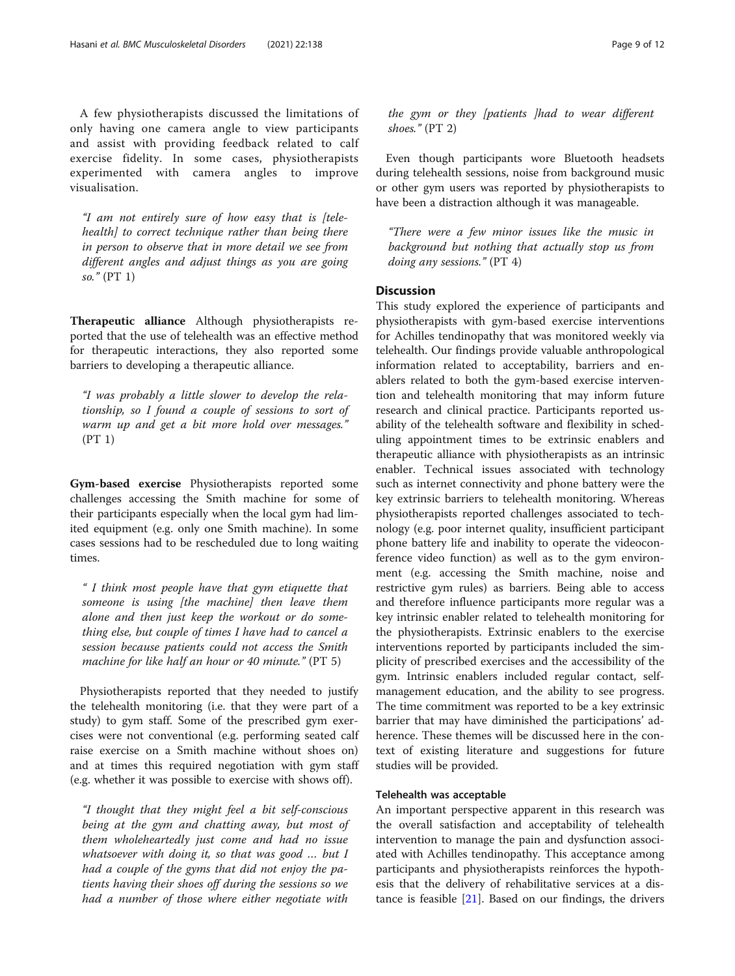A few physiotherapists discussed the limitations of only having one camera angle to view participants and assist with providing feedback related to calf exercise fidelity. In some cases, physiotherapists experimented with camera angles to improve visualisation.

"I am not entirely sure of how easy that is [telehealth] to correct technique rather than being there in person to observe that in more detail we see from different angles and adjust things as you are going so." (PT 1)

Therapeutic alliance Although physiotherapists reported that the use of telehealth was an effective method for therapeutic interactions, they also reported some barriers to developing a therapeutic alliance.

"I was probably a little slower to develop the relationship, so I found a couple of sessions to sort of warm up and get a bit more hold over messages." (PT 1)

Gym-based exercise Physiotherapists reported some challenges accessing the Smith machine for some of their participants especially when the local gym had limited equipment (e.g. only one Smith machine). In some cases sessions had to be rescheduled due to long waiting times.

" I think most people have that gym etiquette that someone is using [the machine] then leave them alone and then just keep the workout or do something else, but couple of times I have had to cancel a session because patients could not access the Smith machine for like half an hour or 40 minute." (PT 5)

Physiotherapists reported that they needed to justify the telehealth monitoring (i.e. that they were part of a study) to gym staff. Some of the prescribed gym exercises were not conventional (e.g. performing seated calf raise exercise on a Smith machine without shoes on) and at times this required negotiation with gym staff (e.g. whether it was possible to exercise with shows off).

"I thought that they might feel a bit self-conscious being at the gym and chatting away, but most of them wholeheartedly just come and had no issue whatsoever with doing it, so that was good ... but I had a couple of the gyms that did not enjoy the patients having their shoes off during the sessions so we had a number of those where either negotiate with

the gym or they [patients ]had to wear different shoes." (PT 2)

Even though participants wore Bluetooth headsets during telehealth sessions, noise from background music or other gym users was reported by physiotherapists to have been a distraction although it was manageable.

"There were a few minor issues like the music in background but nothing that actually stop us from doing any sessions." (PT 4)

# **Discussion**

This study explored the experience of participants and physiotherapists with gym-based exercise interventions for Achilles tendinopathy that was monitored weekly via telehealth. Our findings provide valuable anthropological information related to acceptability, barriers and enablers related to both the gym-based exercise intervention and telehealth monitoring that may inform future research and clinical practice. Participants reported usability of the telehealth software and flexibility in scheduling appointment times to be extrinsic enablers and therapeutic alliance with physiotherapists as an intrinsic enabler. Technical issues associated with technology such as internet connectivity and phone battery were the key extrinsic barriers to telehealth monitoring. Whereas physiotherapists reported challenges associated to technology (e.g. poor internet quality, insufficient participant phone battery life and inability to operate the videoconference video function) as well as to the gym environment (e.g. accessing the Smith machine, noise and restrictive gym rules) as barriers. Being able to access and therefore influence participants more regular was a key intrinsic enabler related to telehealth monitoring for the physiotherapists. Extrinsic enablers to the exercise interventions reported by participants included the simplicity of prescribed exercises and the accessibility of the gym. Intrinsic enablers included regular contact, selfmanagement education, and the ability to see progress. The time commitment was reported to be a key extrinsic barrier that may have diminished the participations' adherence. These themes will be discussed here in the context of existing literature and suggestions for future studies will be provided.

# Telehealth was acceptable

An important perspective apparent in this research was the overall satisfaction and acceptability of telehealth intervention to manage the pain and dysfunction associated with Achilles tendinopathy. This acceptance among participants and physiotherapists reinforces the hypothesis that the delivery of rehabilitative services at a distance is feasible  $[21]$  $[21]$ . Based on our findings, the drivers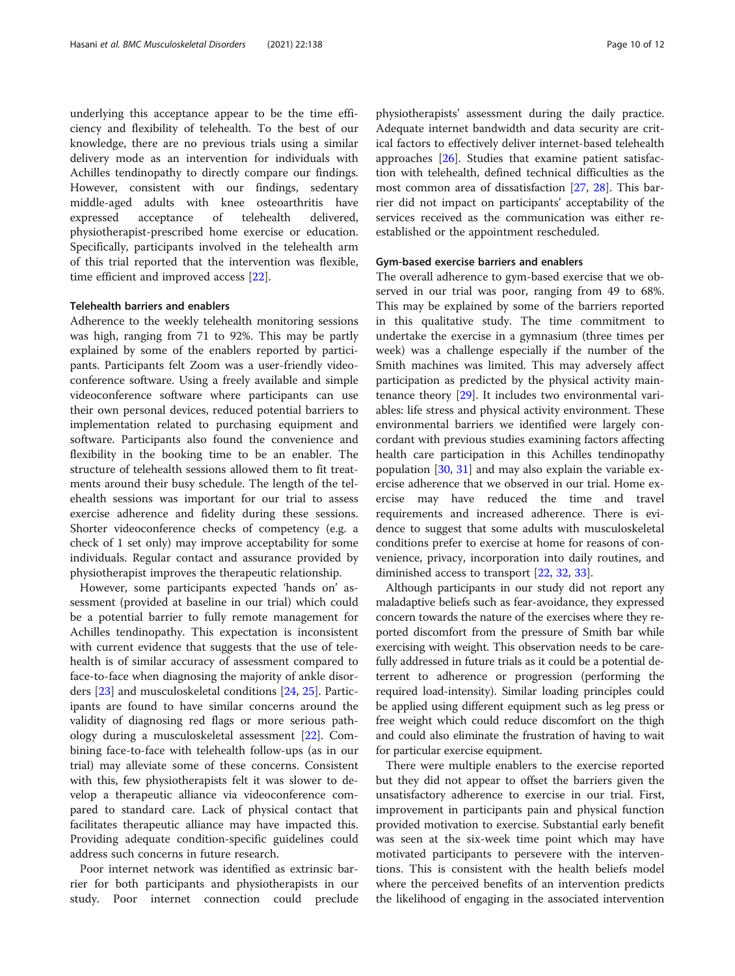underlying this acceptance appear to be the time efficiency and flexibility of telehealth. To the best of our knowledge, there are no previous trials using a similar delivery mode as an intervention for individuals with Achilles tendinopathy to directly compare our findings. However, consistent with our findings, sedentary middle-aged adults with knee osteoarthritis have expressed acceptance of telehealth delivered, physiotherapist-prescribed home exercise or education. Specifically, participants involved in the telehealth arm of this trial reported that the intervention was flexible, time efficient and improved access [[22](#page-11-0)].

# Telehealth barriers and enablers

Adherence to the weekly telehealth monitoring sessions was high, ranging from 71 to 92%. This may be partly explained by some of the enablers reported by participants. Participants felt Zoom was a user-friendly videoconference software. Using a freely available and simple videoconference software where participants can use their own personal devices, reduced potential barriers to implementation related to purchasing equipment and software. Participants also found the convenience and flexibility in the booking time to be an enabler. The structure of telehealth sessions allowed them to fit treatments around their busy schedule. The length of the telehealth sessions was important for our trial to assess exercise adherence and fidelity during these sessions. Shorter videoconference checks of competency (e.g. a check of 1 set only) may improve acceptability for some individuals. Regular contact and assurance provided by physiotherapist improves the therapeutic relationship.

However, some participants expected 'hands on' assessment (provided at baseline in our trial) which could be a potential barrier to fully remote management for Achilles tendinopathy. This expectation is inconsistent with current evidence that suggests that the use of telehealth is of similar accuracy of assessment compared to face-to-face when diagnosing the majority of ankle disorders [[23\]](#page-11-0) and musculoskeletal conditions [\[24](#page-11-0), [25](#page-11-0)]. Participants are found to have similar concerns around the validity of diagnosing red flags or more serious pathology during a musculoskeletal assessment [\[22\]](#page-11-0). Combining face-to-face with telehealth follow-ups (as in our trial) may alleviate some of these concerns. Consistent with this, few physiotherapists felt it was slower to develop a therapeutic alliance via videoconference compared to standard care. Lack of physical contact that facilitates therapeutic alliance may have impacted this. Providing adequate condition-specific guidelines could address such concerns in future research.

Poor internet network was identified as extrinsic barrier for both participants and physiotherapists in our study. Poor internet connection could preclude physiotherapists' assessment during the daily practice. Adequate internet bandwidth and data security are critical factors to effectively deliver internet-based telehealth approaches  $[26]$  $[26]$  $[26]$ . Studies that examine patient satisfaction with telehealth, defined technical difficulties as the most common area of dissatisfaction [\[27](#page-11-0), [28\]](#page-11-0). This barrier did not impact on participants' acceptability of the services received as the communication was either reestablished or the appointment rescheduled.

# Gym-based exercise barriers and enablers

The overall adherence to gym-based exercise that we observed in our trial was poor, ranging from 49 to 68%. This may be explained by some of the barriers reported in this qualitative study. The time commitment to undertake the exercise in a gymnasium (three times per week) was a challenge especially if the number of the Smith machines was limited. This may adversely affect participation as predicted by the physical activity maintenance theory [[29](#page-11-0)]. It includes two environmental variables: life stress and physical activity environment. These environmental barriers we identified were largely concordant with previous studies examining factors affecting health care participation in this Achilles tendinopathy population [[30,](#page-11-0) [31\]](#page-11-0) and may also explain the variable exercise adherence that we observed in our trial. Home exercise may have reduced the time and travel requirements and increased adherence. There is evidence to suggest that some adults with musculoskeletal conditions prefer to exercise at home for reasons of convenience, privacy, incorporation into daily routines, and diminished access to transport [[22,](#page-11-0) [32,](#page-11-0) [33\]](#page-11-0).

Although participants in our study did not report any maladaptive beliefs such as fear-avoidance, they expressed concern towards the nature of the exercises where they reported discomfort from the pressure of Smith bar while exercising with weight. This observation needs to be carefully addressed in future trials as it could be a potential deterrent to adherence or progression (performing the required load-intensity). Similar loading principles could be applied using different equipment such as leg press or free weight which could reduce discomfort on the thigh and could also eliminate the frustration of having to wait for particular exercise equipment.

There were multiple enablers to the exercise reported but they did not appear to offset the barriers given the unsatisfactory adherence to exercise in our trial. First, improvement in participants pain and physical function provided motivation to exercise. Substantial early benefit was seen at the six-week time point which may have motivated participants to persevere with the interventions. This is consistent with the health beliefs model where the perceived benefits of an intervention predicts the likelihood of engaging in the associated intervention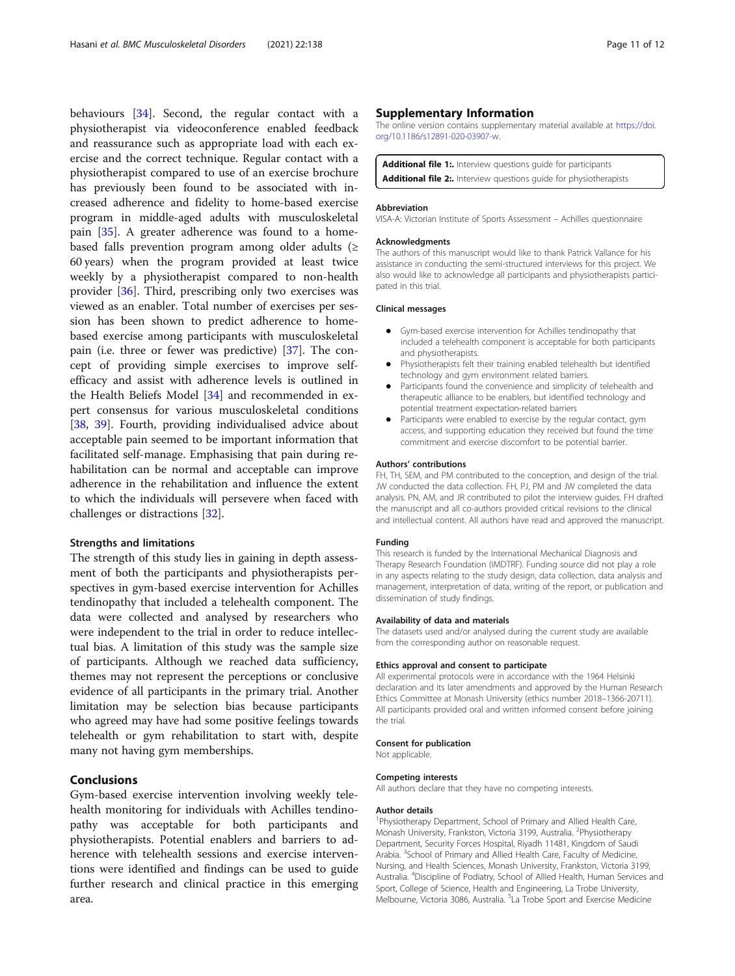<span id="page-10-0"></span>behaviours [[34](#page-11-0)]. Second, the regular contact with a physiotherapist via videoconference enabled feedback and reassurance such as appropriate load with each exercise and the correct technique. Regular contact with a physiotherapist compared to use of an exercise brochure has previously been found to be associated with increased adherence and fidelity to home-based exercise program in middle-aged adults with musculoskeletal pain [\[35](#page-11-0)]. A greater adherence was found to a homebased falls prevention program among older adults  $(≥$ 60 years) when the program provided at least twice weekly by a physiotherapist compared to non-health provider [[36\]](#page-11-0). Third, prescribing only two exercises was viewed as an enabler. Total number of exercises per session has been shown to predict adherence to homebased exercise among participants with musculoskeletal pain (i.e. three or fewer was predictive) [\[37\]](#page-11-0). The concept of providing simple exercises to improve selfefficacy and assist with adherence levels is outlined in the Health Beliefs Model [\[34\]](#page-11-0) and recommended in expert consensus for various musculoskeletal conditions [[38,](#page-11-0) [39\]](#page-11-0). Fourth, providing individualised advice about acceptable pain seemed to be important information that facilitated self-manage. Emphasising that pain during rehabilitation can be normal and acceptable can improve adherence in the rehabilitation and influence the extent to which the individuals will persevere when faced with challenges or distractions [[32](#page-11-0)].

### Strengths and limitations

The strength of this study lies in gaining in depth assessment of both the participants and physiotherapists perspectives in gym-based exercise intervention for Achilles tendinopathy that included a telehealth component. The data were collected and analysed by researchers who were independent to the trial in order to reduce intellectual bias. A limitation of this study was the sample size of participants. Although we reached data sufficiency, themes may not represent the perceptions or conclusive evidence of all participants in the primary trial. Another limitation may be selection bias because participants who agreed may have had some positive feelings towards telehealth or gym rehabilitation to start with, despite many not having gym memberships.

# Conclusions

Gym-based exercise intervention involving weekly telehealth monitoring for individuals with Achilles tendinopathy was acceptable for both participants and physiotherapists. Potential enablers and barriers to adherence with telehealth sessions and exercise interventions were identified and findings can be used to guide further research and clinical practice in this emerging area.

# Supplementary Information

The online version contains supplementary material available at [https://doi.](https://doi.org/10.1186/s12891-020-03907-w) [org/10.1186/s12891-020-03907-w](https://doi.org/10.1186/s12891-020-03907-w).

Additional file 1: Interview questions guide for participants Additional file 2:. Interview questions quide for physiotherapists

#### Abbreviation

VISA-A: Victorian Institute of Sports Assessment – Achilles questionnaire

#### Acknowledgments

The authors of this manuscript would like to thank Patrick Vallance for his assistance in conducting the semi-structured interviews for this project. We also would like to acknowledge all participants and physiotherapists participated in this trial.

#### Clinical messages

- Gym-based exercise intervention for Achilles tendinopathy that included a telehealth component is acceptable for both participants and physiotherapists.
- Physiotherapists felt their training enabled telehealth but identified technology and gym environment related barriers.
- Participants found the convenience and simplicity of telehealth and therapeutic alliance to be enablers, but identified technology and potential treatment expectation-related barriers
- Participants were enabled to exercise by the regular contact, gym access, and supporting education they received but found the time commitment and exercise discomfort to be potential barrier.

#### Authors' contributions

FH, TH, SEM, and PM contributed to the conception, and design of the trial. JW conducted the data collection. FH, PJ, PM and JW completed the data analysis. PN, AM, and JR contributed to pilot the interview guides. FH drafted the manuscript and all co-authors provided critical revisions to the clinical and intellectual content. All authors have read and approved the manuscript.

#### Funding

This research is funded by the International Mechanical Diagnosis and Therapy Research Foundation (IMDTRF). Funding source did not play a role in any aspects relating to the study design, data collection, data analysis and management, interpretation of data, writing of the report, or publication and dissemination of study findings.

#### Availability of data and materials

The datasets used and/or analysed during the current study are available from the corresponding author on reasonable request.

#### Ethics approval and consent to participate

All experimental protocols were in accordance with the 1964 Helsinki declaration and its later amendments and approved by the Human Research Ethics Committee at Monash University (ethics number 2018–1366-20711). All participants provided oral and written informed consent before joining the trial.

#### Consent for publication

Not applicable.

#### Competing interests

All authors declare that they have no competing interests.

#### Author details

<sup>1</sup> Physiotherapy Department, School of Primary and Allied Health Care, Monash University, Frankston, Victoria 3199, Australia. <sup>2</sup>Physiotherapy Department, Security Forces Hospital, Riyadh 11481, Kingdom of Saudi Arabia. <sup>3</sup>School of Primary and Allied Health Care, Faculty of Medicine, Nursing, and Health Sciences, Monash University, Frankston, Victoria 3199, Australia. <sup>4</sup> Discipline of Podiatry, School of Allied Health, Human Services and Sport, College of Science, Health and Engineering, La Trobe University, Melbourne, Victoria 3086, Australia. <sup>5</sup>La Trobe Sport and Exercise Medicine